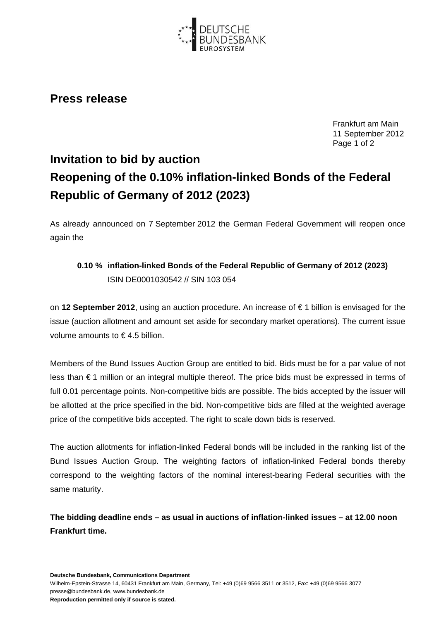

## **Press release**

Frankfurt am Main 11 September 2012 Page 1 of 2

## **Invitation to bid by auction Reopening of the 0.10% inflation-linked Bonds of the Federal Republic of Germany of 2012 (2023)**

As already announced on 7 September 2012 the German Federal Government will reopen once again the

## **0.10 % inflation-linked Bonds of the Federal Republic of Germany of 2012 (2023)**  ISIN DE0001030542 // SIN 103 054

on **12 September 2012**, using an auction procedure. An increase of € 1 billion is envisaged for the issue (auction allotment and amount set aside for secondary market operations). The current issue volume amounts to € 4.5 billion.

Members of the Bund Issues Auction Group are entitled to bid. Bids must be for a par value of not less than € 1 million or an integral multiple thereof. The price bids must be expressed in terms of full 0.01 percentage points. Non-competitive bids are possible. The bids accepted by the issuer will be allotted at the price specified in the bid. Non-competitive bids are filled at the weighted average price of the competitive bids accepted. The right to scale down bids is reserved.

The auction allotments for inflation-linked Federal bonds will be included in the ranking list of the Bund Issues Auction Group. The weighting factors of inflation-linked Federal bonds thereby correspond to the weighting factors of the nominal interest-bearing Federal securities with the same maturity.

**The bidding deadline ends – as usual in auctions of inflation-linked issues – at 12.00 noon Frankfurt time.**